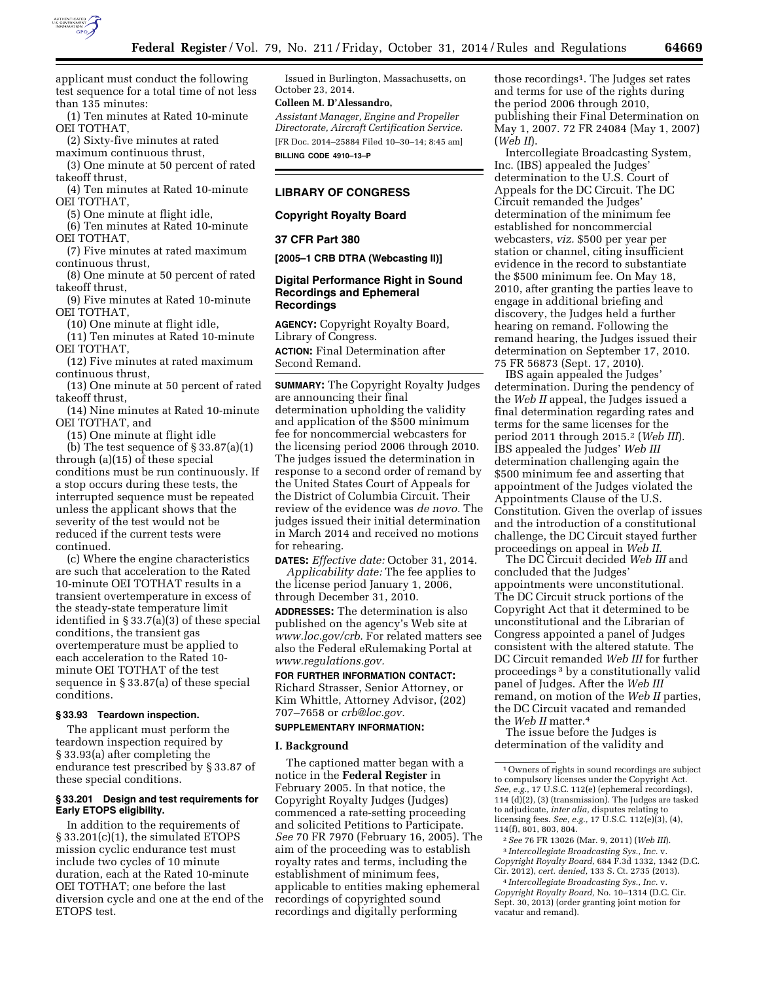

applicant must conduct the following test sequence for a total time of not less than 135 minutes:

(1) Ten minutes at Rated 10-minute OEI TOTHAT,

(2) Sixty-five minutes at rated maximum continuous thrust,

(3) One minute at 50 percent of rated takeoff thrust,

(4) Ten minutes at Rated 10-minute OEI TOTHAT,

(5) One minute at flight idle,

(6) Ten minutes at Rated 10-minute OEI TOTHAT,

(7) Five minutes at rated maximum continuous thrust,

(8) One minute at 50 percent of rated takeoff thrust,

(9) Five minutes at Rated 10-minute OEI TOTHAT,

(10) One minute at flight idle,

(11) Ten minutes at Rated 10-minute OEI TOTHAT, (12) Five minutes at rated maximum

continuous thrust,

(13) One minute at 50 percent of rated takeoff thrust,

(14) Nine minutes at Rated 10-minute OEI TOTHAT, and

(15) One minute at flight idle

(b) The test sequence of  $\S 33.87(a)(1)$ through (a)(15) of these special conditions must be run continuously. If a stop occurs during these tests, the interrupted sequence must be repeated unless the applicant shows that the severity of the test would not be reduced if the current tests were continued.

(c) Where the engine characteristics are such that acceleration to the Rated 10-minute OEI TOTHAT results in a transient overtemperature in excess of the steady-state temperature limit identified in § 33.7(a)(3) of these special conditions, the transient gas overtemperature must be applied to each acceleration to the Rated 10 minute OEI TOTHAT of the test sequence in § 33.87(a) of these special conditions.

# **§ 33.93 Teardown inspection.**

The applicant must perform the teardown inspection required by § 33.93(a) after completing the endurance test prescribed by § 33.87 of these special conditions.

## **§ 33.201 Design and test requirements for Early ETOPS eligibility.**

In addition to the requirements of § 33.201(c)(1), the simulated ETOPS mission cyclic endurance test must include two cycles of 10 minute duration, each at the Rated 10-minute OEI TOTHAT; one before the last diversion cycle and one at the end of the ETOPS test.

Issued in Burlington, Massachusetts, on October 23, 2014.

# **Colleen M. D'Alessandro,**

*Assistant Manager, Engine and Propeller Directorate, Aircraft Certification Service.*  [FR Doc. 2014–25884 Filed 10–30–14; 8:45 am] **BILLING CODE 4910–13–P** 

# **LIBRARY OF CONGRESS**

**Copyright Royalty Board** 

### **37 CFR Part 380**

**[2005–1 CRB DTRA (Webcasting II)]** 

## **Digital Performance Right in Sound Recordings and Ephemeral Recordings**

**AGENCY:** Copyright Royalty Board, Library of Congress.

**ACTION:** Final Determination after Second Remand.

**SUMMARY:** The Copyright Royalty Judges are announcing their final determination upholding the validity and application of the \$500 minimum fee for noncommercial webcasters for the licensing period 2006 through 2010. The judges issued the determination in response to a second order of remand by the United States Court of Appeals for the District of Columbia Circuit. Their review of the evidence was *de novo.* The judges issued their initial determination in March 2014 and received no motions for rehearing.

**DATES:** *Effective date:* October 31, 2014.

*Applicability date:* The fee applies to the license period January 1, 2006, through December 31, 2010.

**ADDRESSES:** The determination is also published on the agency's Web site at *[www.loc.gov/crb.](http://www.loc.gov/crb)* For related matters see also the Federal eRulemaking Portal at *[www.regulations.gov.](http://www.regulations.gov)* 

# **FOR FURTHER INFORMATION CONTACT:**

Richard Strasser, Senior Attorney, or Kim Whittle, Attorney Advisor, (202) 707–7658 or *[crb@loc.gov.](mailto:crb@loc.gov)* 

# **SUPPLEMENTARY INFORMATION:**

#### **I. Background**

The captioned matter began with a notice in the **Federal Register** in February 2005. In that notice, the Copyright Royalty Judges (Judges) commenced a rate-setting proceeding and solicited Petitions to Participate. *See* 70 FR 7970 (February 16, 2005). The aim of the proceeding was to establish royalty rates and terms, including the establishment of minimum fees, applicable to entities making ephemeral recordings of copyrighted sound recordings and digitally performing

those recordings1. The Judges set rates and terms for use of the rights during the period 2006 through 2010, publishing their Final Determination on May 1, 2007. 72 FR 24084 (May 1, 2007) (*Web II*).

Intercollegiate Broadcasting System, Inc. (IBS) appealed the Judges' determination to the U.S. Court of Appeals for the DC Circuit. The DC Circuit remanded the Judges' determination of the minimum fee established for noncommercial webcasters, *viz.* \$500 per year per station or channel, citing insufficient evidence in the record to substantiate the \$500 minimum fee. On May 18, 2010, after granting the parties leave to engage in additional briefing and discovery, the Judges held a further hearing on remand. Following the remand hearing, the Judges issued their determination on September 17, 2010. 75 FR 56873 (Sept. 17, 2010).

IBS again appealed the Judges' determination. During the pendency of the *Web II* appeal, the Judges issued a final determination regarding rates and terms for the same licenses for the period 2011 through 2015.2 (*Web III*). IBS appealed the Judges' *Web III*  determination challenging again the \$500 minimum fee and asserting that appointment of the Judges violated the Appointments Clause of the U.S. Constitution. Given the overlap of issues and the introduction of a constitutional challenge, the DC Circuit stayed further proceedings on appeal in *Web II.* 

The DC Circuit decided *Web III* and concluded that the Judges' appointments were unconstitutional. The DC Circuit struck portions of the Copyright Act that it determined to be unconstitutional and the Librarian of Congress appointed a panel of Judges consistent with the altered statute. The DC Circuit remanded *Web III* for further proceedings 3 by a constitutionally valid panel of Judges. After the *Web III*  remand, on motion of the *Web II* parties, the DC Circuit vacated and remanded the *Web II* matter.4

The issue before the Judges is determination of the validity and

<sup>1</sup>Owners of rights in sound recordings are subject to compulsory licenses under the Copyright Act. *See, e.g.,* 17 U.S.C. 112(e) (ephemeral recordings), 114 (d)(2), (3) (transmission). The Judges are tasked to adjudicate, *inter alia,* disputes relating to licensing fees. *See, e.g.,* 17 U.S.C. 112(e)(3), (4), 114(f), 801, 803, 804.

<sup>2</sup>*See* 76 FR 13026 (Mar. 9, 2011) (*Web III*). 3 *Intercollegiate Broadcasting Sys., Inc.* v. *Copyright Royalty Board,* 684 F.3d 1332, 1342 (D.C. Cir. 2012), *cert. denied,* 133 S. Ct. 2735 (2013).

<sup>4</sup> *Intercollegiate Broadcasting Sys., Inc.* v. *Copyright Royalty Board,* No. 10–1314 (D.C. Cir. Sept. 30, 2013) (order granting joint motion for vacatur and remand).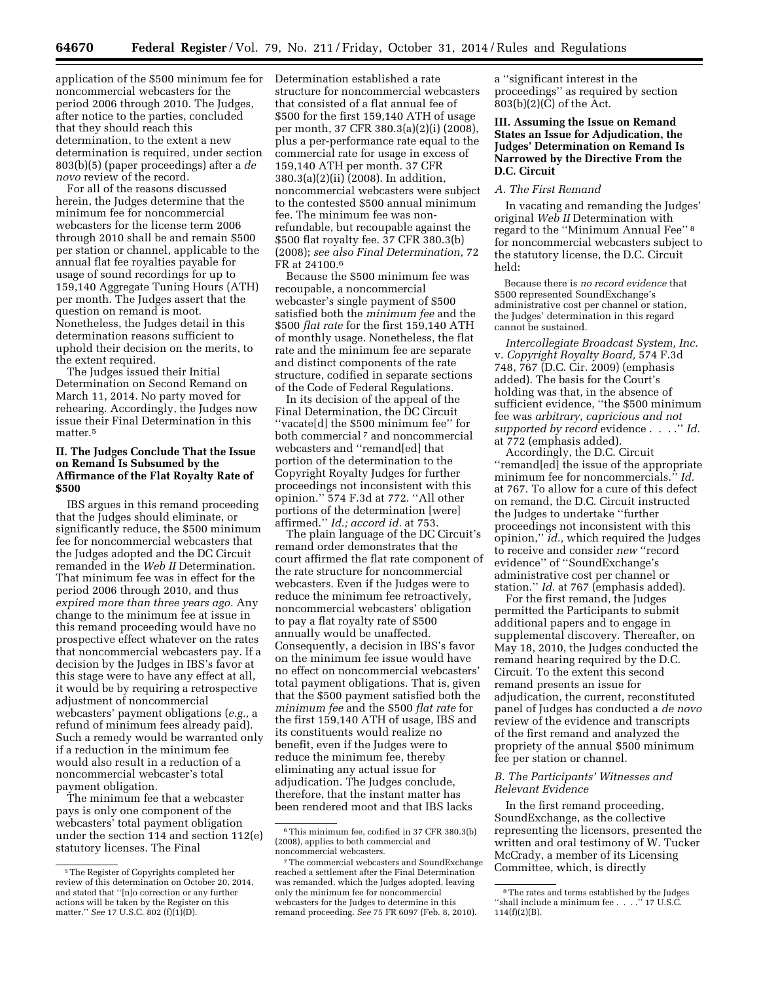application of the \$500 minimum fee for Determination established a rate noncommercial webcasters for the period 2006 through 2010. The Judges, after notice to the parties, concluded that they should reach this determination, to the extent a new determination is required, under section 803(b)(5) (paper proceedings) after a *de novo* review of the record.

For all of the reasons discussed herein, the Judges determine that the minimum fee for noncommercial webcasters for the license term 2006 through 2010 shall be and remain \$500 per station or channel, applicable to the annual flat fee royalties payable for usage of sound recordings for up to 159,140 Aggregate Tuning Hours (ATH) per month. The Judges assert that the question on remand is moot. Nonetheless, the Judges detail in this determination reasons sufficient to uphold their decision on the merits, to the extent required.

The Judges issued their Initial Determination on Second Remand on March 11, 2014. No party moved for rehearing. Accordingly, the Judges now issue their Final Determination in this matter.<sup>5</sup>

## **II. The Judges Conclude That the Issue on Remand Is Subsumed by the Affirmance of the Flat Royalty Rate of \$500**

IBS argues in this remand proceeding that the Judges should eliminate, or significantly reduce, the \$500 minimum fee for noncommercial webcasters that the Judges adopted and the DC Circuit remanded in the *Web II* Determination. That minimum fee was in effect for the period 2006 through 2010, and thus *expired more than three years ago.* Any change to the minimum fee at issue in this remand proceeding would have no prospective effect whatever on the rates that noncommercial webcasters pay. If a decision by the Judges in IBS's favor at this stage were to have any effect at all, it would be by requiring a retrospective adjustment of noncommercial webcasters' payment obligations (*e.g.,* a refund of minimum fees already paid). Such a remedy would be warranted only if a reduction in the minimum fee would also result in a reduction of a noncommercial webcaster's total payment obligation.

The minimum fee that a webcaster pays is only one component of the webcasters' total payment obligation under the section 114 and section 112(e) statutory licenses. The Final

structure for noncommercial webcasters that consisted of a flat annual fee of \$500 for the first 159,140 ATH of usage per month, 37 CFR 380.3(a)(2)(i) (2008), plus a per-performance rate equal to the commercial rate for usage in excess of 159,140 ATH per month. 37 CFR 380.3(a)(2)(ii) (2008). In addition, noncommercial webcasters were subject to the contested \$500 annual minimum fee. The minimum fee was nonrefundable, but recoupable against the \$500 flat royalty fee. 37 CFR 380.3(b) (2008); *see also Final Determination,* 72 FR at 24100.6

Because the \$500 minimum fee was recoupable, a noncommercial webcaster's single payment of \$500 satisfied both the *minimum fee* and the \$500 *flat rate* for the first 159,140 ATH of monthly usage. Nonetheless, the flat rate and the minimum fee are separate and distinct components of the rate structure, codified in separate sections of the Code of Federal Regulations.

In its decision of the appeal of the Final Determination, the DC Circuit ''vacate[d] the \$500 minimum fee'' for both commercial<sup>7</sup> and noncommercial webcasters and ''remand[ed] that portion of the determination to the Copyright Royalty Judges for further proceedings not inconsistent with this opinion.'' 574 F.3d at 772. ''All other portions of the determination [were] affirmed.'' *Id.; accord id.* at 753.

The plain language of the DC Circuit's remand order demonstrates that the court affirmed the flat rate component of the rate structure for noncommercial webcasters. Even if the Judges were to reduce the minimum fee retroactively, noncommercial webcasters' obligation to pay a flat royalty rate of \$500 annually would be unaffected. Consequently, a decision in IBS's favor on the minimum fee issue would have no effect on noncommercial webcasters' total payment obligations. That is, given that the \$500 payment satisfied both the *minimum fee* and the \$500 *flat rate* for the first 159,140 ATH of usage, IBS and its constituents would realize no benefit, even if the Judges were to reduce the minimum fee, thereby eliminating any actual issue for adjudication. The Judges conclude, therefore, that the instant matter has been rendered moot and that IBS lacks

a ''significant interest in the proceedings'' as required by section 803(b)(2)(C) of the Act.

# **III. Assuming the Issue on Remand States an Issue for Adjudication, the Judges' Determination on Remand Is Narrowed by the Directive From the D.C. Circuit**

# *A. The First Remand*

In vacating and remanding the Judges' original *Web II* Determination with regard to the ''Minimum Annual Fee'' 8 for noncommercial webcasters subject to the statutory license, the D.C. Circuit held:

Because there is *no record evidence* that \$500 represented SoundExchange's administrative cost per channel or station, the Judges' determination in this regard cannot be sustained.

*Intercollegiate Broadcast System, Inc.*  v. *Copyright Royalty Board,* 574 F.3d 748, 767 (D.C. Cir. 2009) (emphasis added). The basis for the Court's holding was that, in the absence of sufficient evidence, ''the \$500 minimum fee was *arbitrary, capricious and not supported by record* evidence . . . .'' *Id.*  at 772 (emphasis added).

Accordingly, the D.C. Circuit ''remand[ed] the issue of the appropriate minimum fee for noncommercials.'' *Id.*  at 767. To allow for a cure of this defect on remand, the D.C. Circuit instructed the Judges to undertake ''further proceedings not inconsistent with this opinion,'' *id.,* which required the Judges to receive and consider *new* ''record evidence'' of ''SoundExchange's administrative cost per channel or station.'' *Id.* at 767 (emphasis added).

For the first remand, the Judges permitted the Participants to submit additional papers and to engage in supplemental discovery. Thereafter, on May 18, 2010, the Judges conducted the remand hearing required by the D.C. Circuit. To the extent this second remand presents an issue for adjudication, the current, reconstituted panel of Judges has conducted a *de novo*  review of the evidence and transcripts of the first remand and analyzed the propriety of the annual \$500 minimum fee per station or channel.

## *B. The Participants' Witnesses and Relevant Evidence*

In the first remand proceeding, SoundExchange, as the collective representing the licensors, presented the written and oral testimony of W. Tucker McCrady, a member of its Licensing Committee, which, is directly

<sup>5</sup>The Register of Copyrights completed her review of this determination on October 20, 2014, and stated that ''[n]o correction or any further actions will be taken by the Register on this matter.'' *See* 17 U.S.C. 802 (f)(1)(D).

<sup>6</sup>This minimum fee, codified in 37 CFR 380.3(b) (2008), applies to both commercial and noncommercial webcasters.

<sup>7</sup>The commercial webcasters and SoundExchange reached a settlement after the Final Determination was remanded, which the Judges adopted, leaving only the minimum fee for noncommercial webcasters for the Judges to determine in this remand proceeding. *See* 75 FR 6097 (Feb. 8, 2010).

<sup>8</sup>The rates and terms established by the Judges ''shall include a minimum fee . . . .'' 17 U.S.C. 114(f)(2)(B).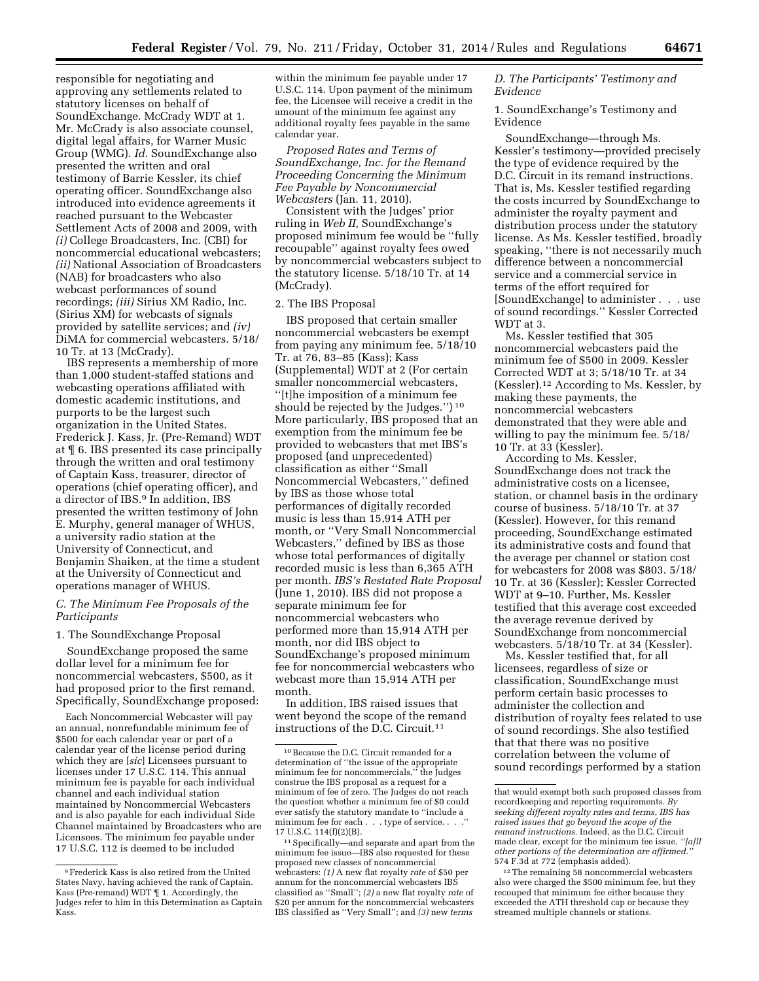responsible for negotiating and approving any settlements related to statutory licenses on behalf of SoundExchange. McCrady WDT at 1. Mr. McCrady is also associate counsel, digital legal affairs, for Warner Music Group (WMG). *Id.* SoundExchange also presented the written and oral testimony of Barrie Kessler, its chief operating officer. SoundExchange also introduced into evidence agreements it reached pursuant to the Webcaster Settlement Acts of 2008 and 2009, with *(i)* College Broadcasters, Inc. (CBI) for noncommercial educational webcasters; *(ii)* National Association of Broadcasters (NAB) for broadcasters who also webcast performances of sound recordings; *(iii)* Sirius XM Radio, Inc. (Sirius XM) for webcasts of signals provided by satellite services; and *(iv)*  DiMA for commercial webcasters. 5/18/ 10 Tr. at 13 (McCrady).

IBS represents a membership of more than 1,000 student-staffed stations and webcasting operations affiliated with domestic academic institutions, and purports to be the largest such organization in the United States. Frederick J. Kass, Jr. (Pre-Remand) WDT at ¶ 6. IBS presented its case principally through the written and oral testimony of Captain Kass, treasurer, director of operations (chief operating officer), and a director of IBS.9 In addition, IBS presented the written testimony of John E. Murphy, general manager of WHUS, a university radio station at the University of Connecticut, and Benjamin Shaiken, at the time a student at the University of Connecticut and operations manager of WHUS.

# *C. The Minimum Fee Proposals of the Participants*

1. The SoundExchange Proposal

SoundExchange proposed the same dollar level for a minimum fee for noncommercial webcasters, \$500, as it had proposed prior to the first remand. Specifically, SoundExchange proposed:

Each Noncommercial Webcaster will pay an annual, nonrefundable minimum fee of \$500 for each calendar year or part of a calendar year of the license period during which they are [*sic*] Licensees pursuant to licenses under 17 U.S.C. 114. This annual minimum fee is payable for each individual channel and each individual station maintained by Noncommercial Webcasters and is also payable for each individual Side Channel maintained by Broadcasters who are Licensees. The minimum fee payable under 17 U.S.C. 112 is deemed to be included

within the minimum fee payable under 17 U.S.C. 114. Upon payment of the minimum fee, the Licensee will receive a credit in the amount of the minimum fee against any additional royalty fees payable in the same calendar year.

*Proposed Rates and Terms of SoundExchange, Inc. for the Remand Proceeding Concerning the Minimum Fee Payable by Noncommercial Webcasters* (Jan. 11, 2010).

Consistent with the Judges' prior ruling in *Web II,* SoundExchange's proposed minimum fee would be ''fully recoupable'' against royalty fees owed by noncommercial webcasters subject to the statutory license. 5/18/10 Tr. at 14 (McCrady).

# 2. The IBS Proposal

IBS proposed that certain smaller noncommercial webcasters be exempt from paying any minimum fee. 5/18/10 Tr. at 76, 83–85 (Kass); Kass (Supplemental) WDT at 2 (For certain smaller noncommercial webcasters, ''[t]he imposition of a minimum fee should be rejected by the Judges.'') 10 More particularly, IBS proposed that an exemption from the minimum fee be provided to webcasters that met IBS's proposed (and unprecedented) classification as either ''Small Noncommercial Webcasters,*''* defined by IBS as those whose total performances of digitally recorded music is less than 15,914 ATH per month, or ''Very Small Noncommercial Webcasters,'' defined by IBS as those whose total performances of digitally recorded music is less than 6,365 ATH per month. *IBS's Restated Rate Proposal*  (June 1, 2010). IBS did not propose a separate minimum fee for noncommercial webcasters who performed more than 15,914 ATH per month, nor did IBS object to SoundExchange's proposed minimum fee for noncommercial webcasters who webcast more than 15,914 ATH per month.

In addition, IBS raised issues that went beyond the scope of the remand instructions of the D.C. Circuit.11

# *D. The Participants' Testimony and Evidence*

1. SoundExchange's Testimony and Evidence

SoundExchange—through Ms. Kessler's testimony—provided precisely the type of evidence required by the D.C. Circuit in its remand instructions. That is, Ms. Kessler testified regarding the costs incurred by SoundExchange to administer the royalty payment and distribution process under the statutory license. As Ms. Kessler testified, broadly speaking, ''there is not necessarily much difference between a noncommercial service and a commercial service in terms of the effort required for [SoundExchange] to administer . . . use of sound recordings.'' Kessler Corrected WDT at 3.

Ms. Kessler testified that 305 noncommercial webcasters paid the minimum fee of \$500 in 2009. Kessler Corrected WDT at 3; 5/18/10 Tr. at 34 (Kessler).12 According to Ms. Kessler, by making these payments, the noncommercial webcasters demonstrated that they were able and willing to pay the minimum fee. 5/18/ 10 Tr. at 33 (Kessler).

According to Ms. Kessler, SoundExchange does not track the administrative costs on a licensee, station, or channel basis in the ordinary course of business. 5/18/10 Tr. at 37 (Kessler). However, for this remand proceeding, SoundExchange estimated its administrative costs and found that the average per channel or station cost for webcasters for 2008 was \$803. 5/18/ 10 Tr. at 36 (Kessler); Kessler Corrected WDT at 9–10. Further, Ms. Kessler testified that this average cost exceeded the average revenue derived by SoundExchange from noncommercial webcasters. 5/18/10 Tr. at 34 (Kessler).

Ms. Kessler testified that, for all licensees, regardless of size or classification, SoundExchange must perform certain basic processes to administer the collection and distribution of royalty fees related to use of sound recordings. She also testified that that there was no positive correlation between the volume of sound recordings performed by a station

<sup>9</sup>Frederick Kass is also retired from the United States Navy, having achieved the rank of Captain. Kass (Pre-remand) WDT ¶ 1. Accordingly, the Judges refer to him in this Determination as Captain Kass.

<sup>10</sup>Because the D.C. Circuit remanded for a determination of ''the issue of the appropriate minimum fee for noncommercials,'' the Judges construe the IBS proposal as a request for a minimum of fee of zero. The Judges do not reach the question whether a minimum fee of \$0 could ever satisfy the statutory mandate to ''include a minimum fee for each  $\ldots$  . type of service. . 17 U.S.C. 114(f)(2)(B).

<sup>11</sup>Specifically—and separate and apart from the minimum fee issue—IBS also requested for these proposed new classes of noncommercial webcasters: *(1)* A new flat royalty *rate* of \$50 per annum for the noncommercial webcasters IBS classified as ''Small''; *(2)* a new flat royalty *rate* of \$20 per annum for the noncommercial webcasters IBS classified as ''Very Small''; and *(3)* new *terms* 

that would exempt both such proposed classes from recordkeeping and reporting requirements. *By seeking different royalty rates and terms, IBS has raised issues that go beyond the scope of the remand instructions.* Indeed, as the D.C. Circuit made clear, except for the minimum fee issue, *''[a]ll other portions of the determination are affirmed.''*  574 F.3d at 772 (emphasis added).

<sup>12</sup>The remaining 58 noncommercial webcasters also were charged the \$500 minimum fee, but they recouped that minimum fee either because they exceeded the ATH threshold cap or because they streamed multiple channels or stations.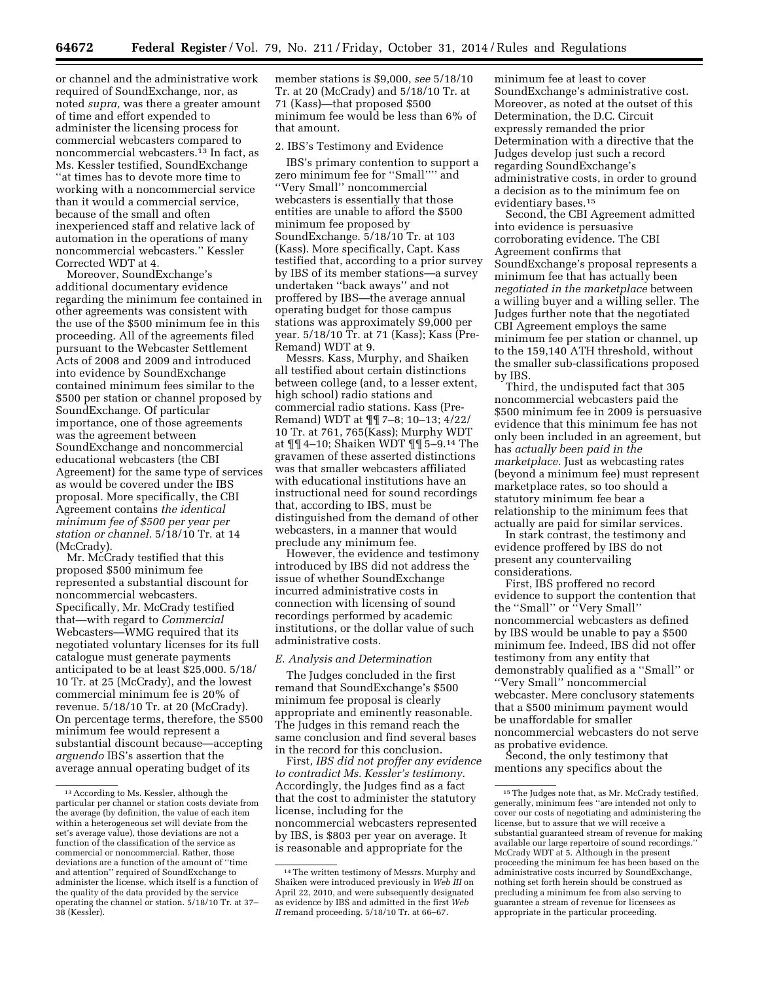or channel and the administrative work required of SoundExchange, nor, as noted *supra,* was there a greater amount of time and effort expended to administer the licensing process for commercial webcasters compared to noncommercial webcasters.13 In fact, as Ms. Kessler testified, SoundExchange ''at times has to devote more time to working with a noncommercial service than it would a commercial service, because of the small and often inexperienced staff and relative lack of automation in the operations of many noncommercial webcasters.'' Kessler Corrected WDT at 4.

Moreover, SoundExchange's additional documentary evidence regarding the minimum fee contained in other agreements was consistent with the use of the \$500 minimum fee in this proceeding. All of the agreements filed pursuant to the Webcaster Settlement Acts of 2008 and 2009 and introduced into evidence by SoundExchange contained minimum fees similar to the \$500 per station or channel proposed by SoundExchange. Of particular importance, one of those agreements was the agreement between SoundExchange and noncommercial educational webcasters (the CBI Agreement) for the same type of services as would be covered under the IBS proposal. More specifically, the CBI Agreement contains *the identical minimum fee of \$500 per year per station or channel.* 5/18/10 Tr. at 14 (McCrady).

Mr. McCrady testified that this proposed \$500 minimum fee represented a substantial discount for noncommercial webcasters. Specifically, Mr. McCrady testified that—with regard to *Commercial*  Webcasters—WMG required that its negotiated voluntary licenses for its full catalogue must generate payments anticipated to be at least \$25,000. 5/18/ 10 Tr. at 25 (McCrady), and the lowest commercial minimum fee is 20% of revenue. 5/18/10 Tr. at 20 (McCrady). On percentage terms, therefore, the \$500 minimum fee would represent a substantial discount because—accepting *arguendo* IBS's assertion that the average annual operating budget of its

member stations is \$9,000, *see* 5/18/10 Tr. at 20 (McCrady) and 5/18/10 Tr. at 71 (Kass)—that proposed \$500 minimum fee would be less than 6% of that amount.

#### 2. IBS's Testimony and Evidence

IBS's primary contention to support a zero minimum fee for ''Small'''' and ''Very Small'' noncommercial webcasters is essentially that those entities are unable to afford the \$500 minimum fee proposed by SoundExchange. 5/18/10 Tr. at 103 (Kass). More specifically, Capt. Kass testified that, according to a prior survey by IBS of its member stations—a survey undertaken ''back aways'' and not proffered by IBS—the average annual operating budget for those campus stations was approximately \$9,000 per year. 5/18/10 Tr. at 71 (Kass); Kass (Pre-Remand) WDT at 9.

Messrs. Kass, Murphy, and Shaiken all testified about certain distinctions between college (and, to a lesser extent, high school) radio stations and commercial radio stations. Kass (Pre-Remand) WDT at ¶¶ 7–8; 10–13; 4/22/ 10 Tr. at 761, 765(Kass); Murphy WDT at ¶¶ 4–10; Shaiken WDT ¶¶ 5–9.14 The gravamen of these asserted distinctions was that smaller webcasters affiliated with educational institutions have an instructional need for sound recordings that, according to IBS, must be distinguished from the demand of other webcasters, in a manner that would preclude any minimum fee.

However, the evidence and testimony introduced by IBS did not address the issue of whether SoundExchange incurred administrative costs in connection with licensing of sound recordings performed by academic institutions, or the dollar value of such administrative costs.

## *E. Analysis and Determination*

The Judges concluded in the first remand that SoundExchange's \$500 minimum fee proposal is clearly appropriate and eminently reasonable. The Judges in this remand reach the same conclusion and find several bases in the record for this conclusion.

First, *IBS did not proffer any evidence to contradict Ms. Kessler's testimony.*  Accordingly, the Judges find as a fact that the cost to administer the statutory license, including for the noncommercial webcasters represented by IBS, is \$803 per year on average. It is reasonable and appropriate for the

minimum fee at least to cover SoundExchange's administrative cost. Moreover, as noted at the outset of this Determination, the D.C. Circuit expressly remanded the prior Determination with a directive that the Judges develop just such a record regarding SoundExchange's administrative costs, in order to ground a decision as to the minimum fee on evidentiary bases.15

Second, the CBI Agreement admitted into evidence is persuasive corroborating evidence. The CBI Agreement confirms that SoundExchange's proposal represents a minimum fee that has actually been *negotiated in the marketplace* between a willing buyer and a willing seller. The Judges further note that the negotiated CBI Agreement employs the same minimum fee per station or channel, up to the 159,140 ATH threshold, without the smaller sub-classifications proposed by IBS.

Third, the undisputed fact that 305 noncommercial webcasters paid the \$500 minimum fee in 2009 is persuasive evidence that this minimum fee has not only been included in an agreement, but has *actually been paid in the marketplace.* Just as webcasting rates (beyond a minimum fee) must represent marketplace rates, so too should a statutory minimum fee bear a relationship to the minimum fees that actually are paid for similar services.

In stark contrast, the testimony and evidence proffered by IBS do not present any countervailing considerations.

First, IBS proffered no record evidence to support the contention that the ''Small'' or ''Very Small'' noncommercial webcasters as defined by IBS would be unable to pay a \$500 minimum fee. Indeed, IBS did not offer testimony from any entity that demonstrably qualified as a ''Small'' or ''Very Small'' noncommercial webcaster. Mere conclusory statements that a \$500 minimum payment would be unaffordable for smaller noncommercial webcasters do not serve as probative evidence.

Second, the only testimony that mentions any specifics about the

<sup>13</sup>According to Ms. Kessler, although the particular per channel or station costs deviate from the average (by definition, the value of each item within a heterogeneous set will deviate from the set's average value), those deviations are not a function of the classification of the service as commercial or noncommercial. Rather, those deviations are a function of the amount of ''time and attention'' required of SoundExchange to administer the license, which itself is a function of the quality of the data provided by the service operating the channel or station. 5/18/10 Tr. at 37– 38 (Kessler).

<sup>14</sup>The written testimony of Messrs. Murphy and Shaiken were introduced previously in *Web III* on April 22, 2010, and were subsequently designated as evidence by IBS and admitted in the first *Web II* remand proceeding. 5/18/10 Tr. at 66–67.

<sup>15</sup>The Judges note that, as Mr. McCrady testified, generally, minimum fees ''are intended not only to cover our costs of negotiating and administering the license, but to assure that we will receive a substantial guaranteed stream of revenue for making available our large repertoire of sound recordings. McCrady WDT at 5. Although in the present proceeding the minimum fee has been based on the administrative costs incurred by SoundExchange, nothing set forth herein should be construed as precluding a minimum fee from also serving to guarantee a stream of revenue for licensees as appropriate in the particular proceeding.